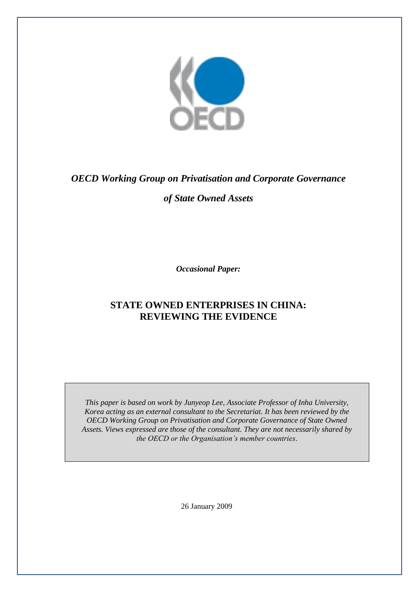

# *OECD Working Group on Privatisation and Corporate Governance*

# *of State Owned Assets*

*Occasional Paper:*

# **STATE OWNED ENTERPRISES IN CHINA: REVIEWING THE EVIDENCE**

*This paper is based on work by Junyeop Lee, Associate Professor of Inha University, Korea acting as an external consultant to the Secretariat. It has been reviewed by the OECD Working Group on Privatisation and Corporate Governance of State Owned Assets. Views expressed are those of the consultant. They are not necessarily shared by the OECD or the Organisation's member countries.*

26 January 2009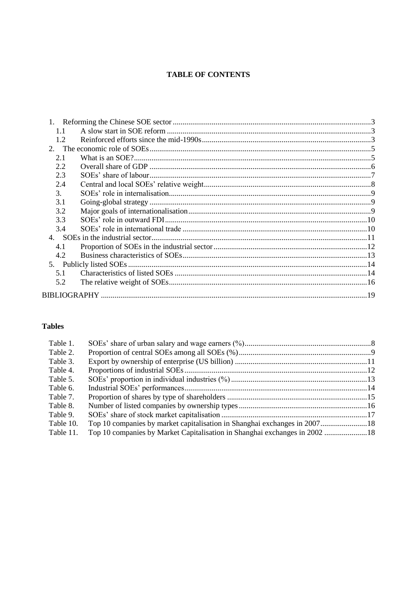# **TABLE OF CONTENTS**

| 1.1            |  |
|----------------|--|
| 1.2            |  |
|                |  |
| 2.1            |  |
| 2.2            |  |
| 2.3            |  |
| 2.4            |  |
| 3 <sub>1</sub> |  |
| 3.1            |  |
| 3.2            |  |
| 3.3            |  |
| 3.4            |  |
|                |  |
| 4.1            |  |
| 4.2            |  |
|                |  |
| 5.1            |  |
| 5.2            |  |
|                |  |

# **Tables**

| Table 1.  |                                                                            |  |
|-----------|----------------------------------------------------------------------------|--|
| Table 2.  |                                                                            |  |
| Table 3.  |                                                                            |  |
| Table 4.  |                                                                            |  |
| Table 5.  |                                                                            |  |
| Table 6.  |                                                                            |  |
| Table 7.  |                                                                            |  |
| Table 8.  |                                                                            |  |
| Table 9.  |                                                                            |  |
| Table 10. | Top 10 companies by market capitalisation in Shanghai exchanges in 2007 18 |  |
| Table 11. | Top 10 companies by Market Capitalisation in Shanghai exchanges in 2002 18 |  |
|           |                                                                            |  |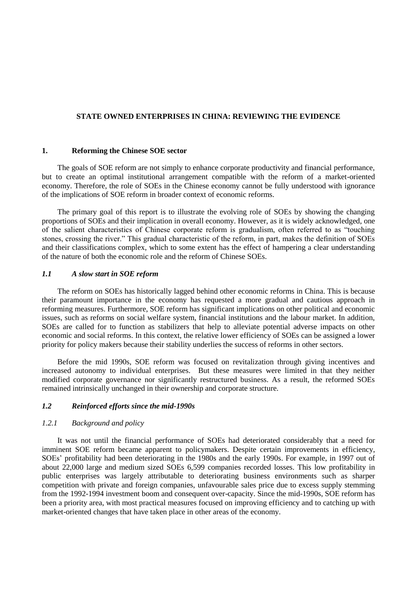### **STATE OWNED ENTERPRISES IN CHINA: REVIEWING THE EVIDENCE**

#### **1. Reforming the Chinese SOE sector**

The goals of SOE reform are not simply to enhance corporate productivity and financial performance, but to create an optimal institutional arrangement compatible with the reform of a market-oriented economy. Therefore, the role of SOEs in the Chinese economy cannot be fully understood with ignorance of the implications of SOE reform in broader context of economic reforms.

The primary goal of this report is to illustrate the evolving role of SOEs by showing the changing proportions of SOEs and their implication in overall economy. However, as it is widely acknowledged, one of the salient characteristics of Chinese corporate reform is gradualism, often referred to as "touching stones, crossing the river." This gradual characteristic of the reform, in part, makes the definition of SOEs and their classifications complex, which to some extent has the effect of hampering a clear understanding of the nature of both the economic role and the reform of Chinese SOEs.

#### *1.1 A slow start in SOE reform*

The reform on SOEs has historically lagged behind other economic reforms in China. This is because their paramount importance in the economy has requested a more gradual and cautious approach in reforming measures. Furthermore, SOE reform has significant implications on other political and economic issues, such as reforms on social welfare system, financial institutions and the labour market. In addition, SOEs are called for to function as stabilizers that help to alleviate potential adverse impacts on other economic and social reforms. In this context, the relative lower efficiency of SOEs can be assigned a lower priority for policy makers because their stability underlies the success of reforms in other sectors.

Before the mid 1990s, SOE reform was focused on revitalization through giving incentives and increased autonomy to individual enterprises. But these measures were limited in that they neither modified corporate governance nor significantly restructured business. As a result, the reformed SOEs remained intrinsically unchanged in their ownership and corporate structure.

# *1.2 Reinforced efforts since the mid-1990s*

# *1.2.1 Background and policy*

It was not until the financial performance of SOEs had deteriorated considerably that a need for imminent SOE reform became apparent to policymakers. Despite certain improvements in efficiency, SOEs" profitability had been deteriorating in the 1980s and the early 1990s. For example, in 1997 out of about 22,000 large and medium sized SOEs 6,599 companies recorded losses. This low profitability in public enterprises was largely attributable to deteriorating business environments such as sharper competition with private and foreign companies, unfavourable sales price due to excess supply stemming from the 1992-1994 investment boom and consequent over-capacity. Since the mid-1990s, SOE reform has been a priority area, with most practical measures focused on improving efficiency and to catching up with market-oriented changes that have taken place in other areas of the economy.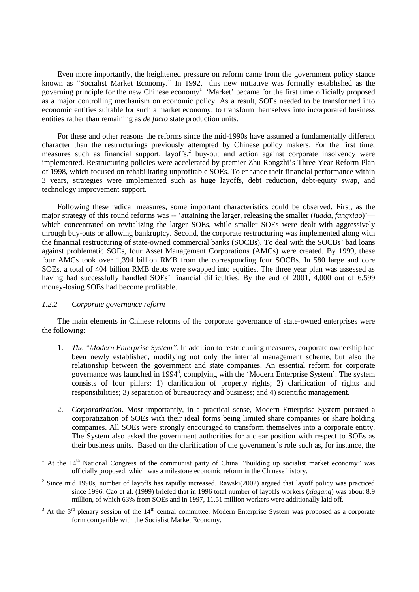Even more importantly, the heightened pressure on reform came from the government policy stance known as "Socialist Market Economy." In 1992, this new initiative was formally established as the governing principle for the new Chinese economy<sup>1</sup>. 'Market' became for the first time officially proposed as a major controlling mechanism on economic policy. As a result, SOEs needed to be transformed into economic entities suitable for such a market economy; to transform themselves into incorporated business entities rather than remaining as *de facto* state production units.

For these and other reasons the reforms since the mid-1990s have assumed a fundamentally different character than the restructurings previously attempted by Chinese policy makers. For the first time, measures such as financial support, layoffs,<sup>2</sup> buy-out and action against corporate insolvency were implemented. Restructuring policies were accelerated by premier Zhu Rongzhi"s Three Year Reform Plan of 1998, which focused on rehabilitating unprofitable SOEs. To enhance their financial performance within 3 years, strategies were implemented such as huge layoffs, debt reduction, debt-equity swap, and technology improvement support.

Following these radical measures, some important characteristics could be observed. First, as the major strategy of this round reforms was -- 'attaining the larger, releasing the smaller (*juada, fangxiao*)' which concentrated on revitalizing the larger SOEs, while smaller SOEs were dealt with aggressively through buy-outs or allowing bankruptcy. Second, the corporate restructuring was implemented along with the financial restructuring of state-owned commercial banks (SOCBs). To deal with the SOCBs" bad loans against problematic SOEs, four Asset Management Corporations (AMCs) were created. By 1999, these four AMCs took over 1,394 billion RMB from the corresponding four SOCBs. In 580 large and core SOEs, a total of 404 billion RMB debts were swapped into equities. The three year plan was assessed as having had successfully handled SOEs' financial difficulties. By the end of 2001, 4,000 out of 6,599 money-losing SOEs had become profitable.

#### *1.2.2 Corporate governance reform*

l

The main elements in Chinese reforms of the corporate governance of state-owned enterprises were the following:

- 1. *The "Modern Enterprise System".* In addition to restructuring measures, corporate ownership had been newly established, modifying not only the internal management scheme, but also the relationship between the government and state companies. An essential reform for corporate governance was launched in 1994<sup>3</sup>, complying with the 'Modern Enterprise System'. The system consists of four pillars: 1) clarification of property rights; 2) clarification of rights and responsibilities; 3) separation of bureaucracy and business; and 4) scientific management.
- 2. *Corporatization.* Most importantly, in a practical sense, Modern Enterprise System pursued a corporatization of SOEs with their ideal forms being limited share companies or share holding companies. All SOEs were strongly encouraged to transform themselves into a corporate entity. The System also asked the government authorities for a clear position with respect to SOEs as their business units. Based on the clarification of the government"s role such as, for instance, the

 $3$  At the  $3<sup>rd</sup>$  plenary session of the  $14<sup>th</sup>$  central committee, Modern Enterprise System was proposed as a corporate form compatible with the Socialist Market Economy.

<sup>&</sup>lt;sup>1</sup> At the  $14<sup>th</sup>$  National Congress of the communist party of China, "building up socialist market economy" was officially proposed, which was a milestone economic reform in the Chinese history.

 $2$  Since mid 1990s, number of layoffs has rapidly increased. Rawski(2002) argued that layoff policy was practiced since 1996. Cao et al. (1999) briefed that in 1996 total number of layoffs workers (*xiagang*) was about 8.9 million, of which 63% from SOEs and in 1997, 11.51 million workers were additionally laid off.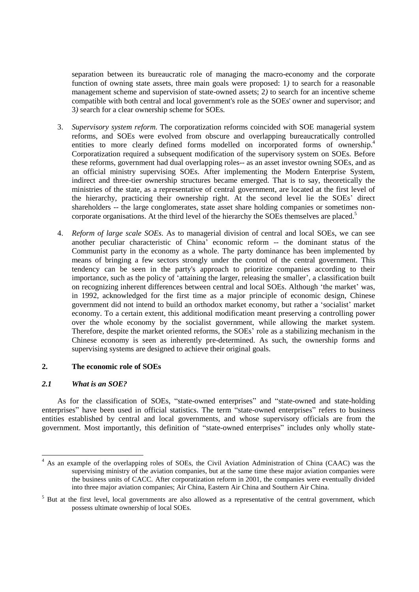separation between its bureaucratic role of managing the macro-economy and the corporate function of owning state assets, three main goals were proposed: 1*)* to search for a reasonable management scheme and supervision of state-owned assets; 2*)* to search for an incentive scheme compatible with both central and local government's role as the SOEs' owner and supervisor; and 3*)* search for a clear ownership scheme for SOEs.

- 3. *Supervisory system reform.* The corporatization reforms coincided with SOE managerial system reforms, and SOEs were evolved from obscure and overlapping bureaucratically controlled entities to more clearly defined forms modelled on incorporated forms of ownership.<sup>4</sup> Corporatization required a subsequent modification of the supervisory system on SOEs. Before these reforms, government had dual overlapping roles-- as an asset investor owning SOEs, and as an official ministry supervising SOEs. After implementing the Modern Enterprise System, indirect and three-tier ownership structures became emerged. That is to say, theoretically the ministries of the state, as a representative of central government, are located at the first level of the hierarchy, practicing their ownership right. At the second level lie the SOEs" direct shareholders -- the large conglomerates, state asset share holding companies or sometimes noncorporate organisations. At the third level of the hierarchy the SOEs themselves are placed.<sup>5</sup>
- 4. *Reform of large scale SOEs.* As to managerial division of central and local SOEs, we can see another peculiar characteristic of China" economic reform -- the dominant status of the Communist party in the economy as a whole. The party dominance has been implemented by means of bringing a few sectors strongly under the control of the central government. This tendency can be seen in the party's approach to prioritize companies according to their importance, such as the policy of 'attaining the larger, releasing the smaller', a classification built on recognizing inherent differences between central and local SOEs. Although 'the market' was, in 1992, acknowledged for the first time as a major principle of economic design, Chinese government did not intend to build an orthodox market economy, but rather a "socialist" market economy. To a certain extent, this additional modification meant preserving a controlling power over the whole economy by the socialist government, while allowing the market system. Therefore, despite the market oriented reforms, the SOEs' role as a stabilizing mechanism in the Chinese economy is seen as inherently pre-determined. As such, the ownership forms and supervising systems are designed to achieve their original goals.

# **2. The economic role of SOEs**

## *2.1 What is an SOE?*

l

As for the classification of SOEs, "state-owned enterprises" and "state-owned and state-holding enterprises" have been used in official statistics. The term "state-owned enterprises" refers to business entities established by central and local governments, and whose supervisory officials are from the government. Most importantly, this definition of "state-owned enterprises" includes only wholly state-

<sup>&</sup>lt;sup>4</sup> As an example of the overlapping roles of SOEs, the Civil Aviation Administration of China (CAAC) was the supervising ministry of the aviation companies, but at the same time these major aviation companies were the business units of CACC. After corporatization reform in 2001, the companies were eventually divided into three major aviation companies; Air China, Eastern Air China and Southern Air China.

<sup>&</sup>lt;sup>5</sup> But at the first level, local governments are also allowed as a representative of the central government, which possess ultimate ownership of local SOEs.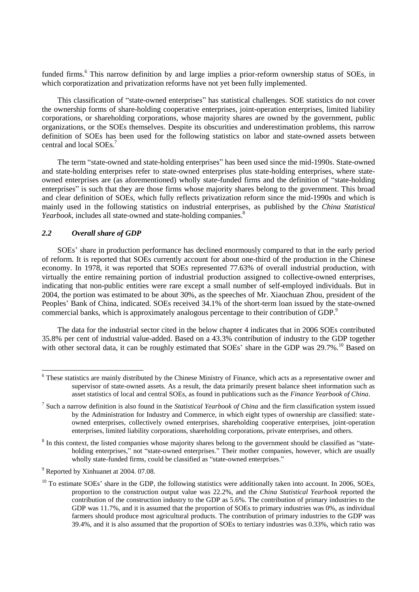funded firms.<sup>6</sup> This narrow definition by and large implies a prior-reform ownership status of SOEs, in which corporatization and privatization reforms have not yet been fully implemented.

This classification of "state-owned enterprises" has statistical challenges. SOE statistics do not cover the ownership forms of share-holding cooperative enterprises, joint-operation enterprises, limited liability corporations, or shareholding corporations, whose majority shares are owned by the government, public organizations, or the SOEs themselves. Despite its obscurities and underestimation problems, this narrow definition of SOEs has been used for the following statistics on labor and state-owned assets between central and local SOEs<sup>7</sup>

The term "state-owned and state-holding enterprises" has been used since the mid-1990s. State-owned and state-holding enterprises refer to state-owned enterprises plus state-holding enterprises, where stateowned enterprises are (as aforementioned) wholly state-funded firms and the definition of "state-holding enterprises" is such that they are those firms whose majority shares belong to the government. This broad and clear definition of SOEs, which fully reflects privatization reform since the mid-1990s and which is mainly used in the following statistics on industrial enterprises, as published by the *China Statistical Yearbook*, includes all state-owned and state-holding companies.<sup>8</sup>

# *2.2 Overall share of GDP*

l

SOEs" share in production performance has declined enormously compared to that in the early period of reform. It is reported that SOEs currently account for about one-third of the production in the Chinese economy. In 1978, it was reported that SOEs represented 77.63% of overall industrial production, with virtually the entire remaining portion of industrial production assigned to collective-owned enterprises, indicating that non-public entities were rare except a small number of self-employed individuals. But in 2004, the portion was estimated to be about 30%, as the speeches of Mr. Xiaochuan Zhou, president of the Peoples' Bank of China, indicated. SOEs received 34.1% of the short-term loan issued by the state-owned commercial banks, which is approximately analogous percentage to their contribution of GDP.<sup>9</sup>

The data for the industrial sector cited in the below chapter 4 indicates that in 2006 SOEs contributed 35.8% per cent of industrial value-added. Based on a 43.3% contribution of industry to the GDP together with other sectoral data, it can be roughly estimated that SOEs' share in the GDP was 29.7%.<sup>10</sup> Based on

<sup>&</sup>lt;sup>6</sup> These statistics are mainly distributed by the Chinese Ministry of Finance, which acts as a representative owner and supervisor of state-owned assets. As a result, the data primarily present balance sheet information such as asset statistics of local and central SOEs, as found in publications such as the *Finance Yearbook of China*.

<sup>7</sup> Such a narrow definition is also found in the *Statistical Yearbook of China* and the firm classification system issued by the Administration for Industry and Commerce, in which eight types of ownership are classified: stateowned enterprises, collectively owned enterprises, shareholding cooperative enterprises, joint-operation enterprises, limited liability corporations, shareholding corporations, private enterprises, and others.

 $8$  In this context, the listed companies whose majority shares belong to the government should be classified as "stateholding enterprises," not "state-owned enterprises." Their mother companies, however, which are usually wholly state-funded firms, could be classified as "state-owned enterprises."

<sup>&</sup>lt;sup>9</sup> Reported by Xinhuanet at 2004. 07.08.

 $10$  To estimate SOEs' share in the GDP, the following statistics were additionally taken into account. In 2006, SOEs, proportion to the construction output value was 22.2%, and the *China Statistical Yearbook* reported the contribution of the construction industry to the GDP as 5.6%. The contribution of primary industries to the GDP was 11.7%, and it is assumed that the proportion of SOEs to primary industries was 0%, as individual farmers should produce most agricultural products. The contribution of primary industries to the GDP was 39.4%, and it is also assumed that the proportion of SOEs to tertiary industries was 0.33%, which ratio was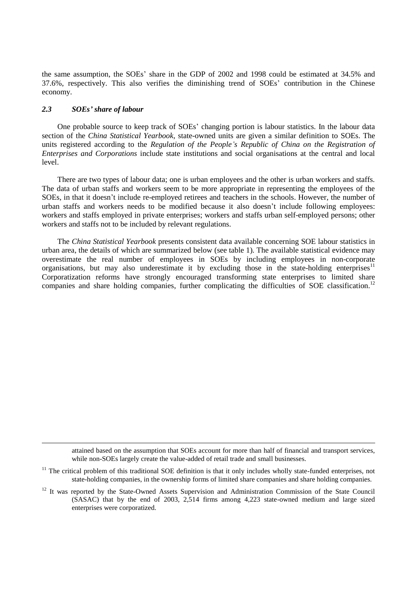the same assumption, the SOEs" share in the GDP of 2002 and 1998 could be estimated at 34.5% and 37.6%, respectively. This also verifies the diminishing trend of SOEs" contribution in the Chinese economy.

## *2.3 SOEs' share of labour*

l

One probable source to keep track of SOEs' changing portion is labour statistics. In the labour data section of the *China Statistical Yearbook*, state-owned units are given a similar definition to SOEs. The units registered according to the *Regulation of the People's Republic of China on the Registration of Enterprises and Corporations* include state institutions and social organisations at the central and local level.

There are two types of labour data; one is urban employees and the other is urban workers and staffs. The data of urban staffs and workers seem to be more appropriate in representing the employees of the SOEs, in that it doesn"t include re-employed retirees and teachers in the schools. However, the number of urban staffs and workers needs to be modified because it also doesn"t include following employees: workers and staffs employed in private enterprises; workers and staffs urban self-employed persons; other workers and staffs not to be included by relevant regulations.

The *China Statistical Yearbook* presents consistent data available concerning SOE labour statistics in urban area, the details of which are summarized below (see table 1). The available statistical evidence may overestimate the real number of employees in SOEs by including employees in non-corporate organisations, but may also underestimate it by excluding those in the state-holding enterprises<sup>11</sup> Corporatization reforms have strongly encouraged transforming state enterprises to limited share companies and share holding companies, further complicating the difficulties of SOE classification.<sup>12</sup>

attained based on the assumption that SOEs account for more than half of financial and transport services, while non-SOEs largely create the value-added of retail trade and small businesses.

 $11$  The critical problem of this traditional SOE definition is that it only includes wholly state-funded enterprises, not state-holding companies, in the ownership forms of limited share companies and share holding companies.

<sup>&</sup>lt;sup>12</sup> It was reported by the State-Owned Assets Supervision and Administration Commission of the State Council (SASAC) that by the end of 2003, 2,514 firms among 4,223 state-owned medium and large sized enterprises were corporatized.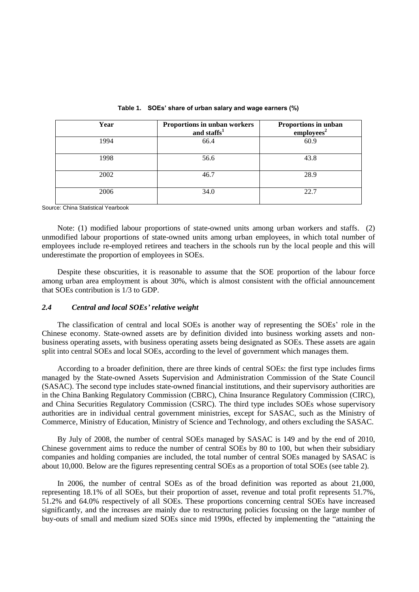| Year | Proportions in unban workers<br>and staffs <sup>1</sup> | Proportions in unban<br>employees <sup>2</sup> |
|------|---------------------------------------------------------|------------------------------------------------|
| 1994 | 66.4                                                    | 60.9                                           |
| 1998 | 56.6                                                    | 43.8                                           |
| 2002 | 46.7                                                    | 28.9                                           |
| 2006 | 34.0                                                    | 22.7                                           |

#### **Table 1. SOEs' share of urban salary and wage earners (%)**

Source: China Statistical Yearbook

Note: (1) modified labour proportions of state-owned units among urban workers and staffs. (2) unmodified labour proportions of state-owned units among urban employees, in which total number of employees include re-employed retirees and teachers in the schools run by the local people and this will underestimate the proportion of employees in SOEs.

Despite these obscurities, it is reasonable to assume that the SOE proportion of the labour force among urban area employment is about 30%, which is almost consistent with the official announcement that SOEs contribution is 1/3 to GDP.

### *2.4 Central and local SOEs' relative weight*

The classification of central and local SOEs is another way of representing the SOEs" role in the Chinese economy. State-owned assets are by definition divided into business working assets and nonbusiness operating assets, with business operating assets being designated as SOEs. These assets are again split into central SOEs and local SOEs, according to the level of government which manages them.

According to a broader definition, there are three kinds of central SOEs: the first type includes firms managed by the State-owned Assets Supervision and Administration Commission of the State Council (SASAC). The second type includes state-owned financial institutions, and their supervisory authorities are in the China Banking Regulatory Commission (CBRC), China Insurance Regulatory Commission (CIRC), and China Securities Regulatory Commission (CSRC). The third type includes SOEs whose supervisory authorities are in individual central government ministries, except for SASAC, such as the Ministry of Commerce, Ministry of Education, Ministry of Science and Technology, and others excluding the SASAC.

By July of 2008, the number of central SOEs managed by SASAC is 149 and by the end of 2010, Chinese government aims to reduce the number of central SOEs by 80 to 100, but when their subsidiary companies and holding companies are included, the total number of central SOEs managed by SASAC is about 10,000. Below are the figures representing central SOEs as a proportion of total SOEs (see table 2).

In 2006, the number of central SOEs as of the broad definition was reported as about 21,000, representing 18.1% of all SOEs, but their proportion of asset, revenue and total profit represents 51.7%, 51.2% and 64.0% respectively of all SOEs. These proportions concerning central SOEs have increased significantly, and the increases are mainly due to restructuring policies focusing on the large number of buy-outs of small and medium sized SOEs since mid 1990s, effected by implementing the "attaining the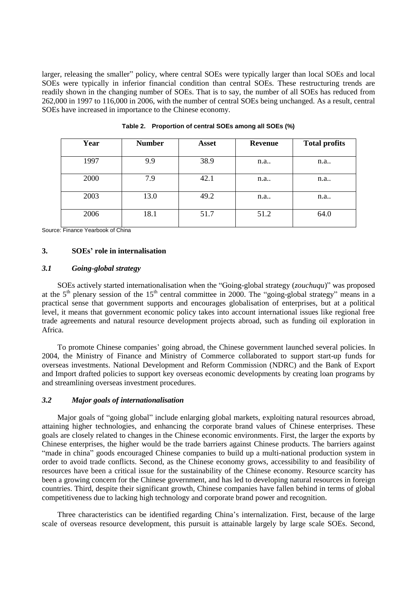larger, releasing the smaller" policy, where central SOEs were typically larger than local SOEs and local SOEs were typically in inferior financial condition than central SOEs. These restructuring trends are readily shown in the changing number of SOEs. That is to say, the number of all SOEs has reduced from 262,000 in 1997 to 116,000 in 2006, with the number of central SOEs being unchanged. As a result, central SOEs have increased in importance to the Chinese economy.

| Year | <b>Number</b> | <b>Asset</b> | <b>Revenue</b> | <b>Total profits</b> |
|------|---------------|--------------|----------------|----------------------|
| 1997 | 9.9           | 38.9         | n.a.           | n.a.                 |
| 2000 | 7.9           | 42.1         | n.a.           | n.a                  |
| 2003 | 13.0          | 49.2         | n.a            | n.a                  |
| 2006 | 18.1          | 51.7         | 51.2           | 64.0                 |

**Table 2. Proportion of central SOEs among all SOEs (%)**

Source: Finance Yearbook of China

#### **3. SOEs' role in internalisation**

#### *3.1 Going-global strategy*

SOEs actively started internationalisation when the "Going-global strategy (*zouchuqu*)" was proposed at the  $5<sup>th</sup>$  plenary session of the  $15<sup>th</sup>$  central committee in 2000. The "going-global strategy" means in a practical sense that government supports and encourages globalisation of enterprises, but at a political level, it means that government economic policy takes into account international issues like regional free trade agreements and natural resource development projects abroad, such as funding oil exploration in Africa.

To promote Chinese companies' going abroad, the Chinese government launched several policies. In 2004, the Ministry of Finance and Ministry of Commerce collaborated to support start-up funds for overseas investments. National Development and Reform Commission (NDRC) and the Bank of Export and Import drafted policies to support key overseas economic developments by creating loan programs by and streamlining overseas investment procedures.

### *3.2 Major goals of internationalisation*

Major goals of "going global" include enlarging global markets, exploiting natural resources abroad, attaining higher technologies, and enhancing the corporate brand values of Chinese enterprises. These goals are closely related to changes in the Chinese economic environments. First, the larger the exports by Chinese enterprises, the higher would be the trade barriers against Chinese products. The barriers against "made in china" goods encouraged Chinese companies to build up a multi-national production system in order to avoid trade conflicts. Second, as the Chinese economy grows, accessibility to and feasibility of resources have been a critical issue for the sustainability of the Chinese economy. Resource scarcity has been a growing concern for the Chinese government, and has led to developing natural resources in foreign countries. Third, despite their significant growth, Chinese companies have fallen behind in terms of global competitiveness due to lacking high technology and corporate brand power and recognition.

Three characteristics can be identified regarding China"s internalization. First, because of the large scale of overseas resource development, this pursuit is attainable largely by large scale SOEs. Second,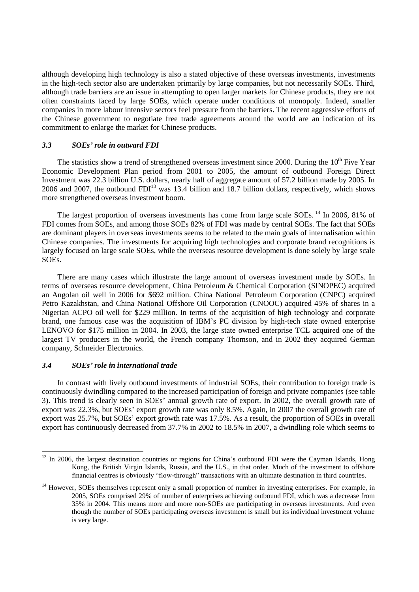although developing high technology is also a stated objective of these overseas investments, investments in the high-tech sector also are undertaken primarily by large companies, but not necessarily SOEs. Third, although trade barriers are an issue in attempting to open larger markets for Chinese products, they are not often constraints faced by large SOEs, which operate under conditions of monopoly. Indeed, smaller companies in more labour intensive sectors feel pressure from the barriers. The recent aggressive efforts of the Chinese government to negotiate free trade agreements around the world are an indication of its commitment to enlarge the market for Chinese products.

#### *3.3 SOEs' role in outward FDI*

The statistics show a trend of strengthened overseas investment since 2000. During the  $10<sup>th</sup>$  Five Year Economic Development Plan period from 2001 to 2005, the amount of outbound Foreign Direct Investment was 22.3 billion U.S. dollars, nearly half of aggregate amount of 57.2 billion made by 2005. In 2006 and 2007, the outbound  $FDI<sup>13</sup>$  was 13.4 billion and 18.7 billion dollars, respectively, which shows more strengthened overseas investment boom.

The largest proportion of overseas investments has come from large scale SOEs.<sup>14</sup> In 2006, 81% of FDI comes from SOEs, and among those SOEs 82% of FDI was made by central SOEs. The fact that SOEs are dominant players in overseas investments seems to be related to the main goals of internalisation within Chinese companies. The investments for acquiring high technologies and corporate brand recognitions is largely focused on large scale SOEs, while the overseas resource development is done solely by large scale SOEs.

There are many cases which illustrate the large amount of overseas investment made by SOEs. In terms of overseas resource development, China Petroleum & Chemical Corporation (SINOPEC) acquired an Angolan oil well in 2006 for \$692 million. China National Petroleum Corporation (CNPC) acquired Petro Kazakhstan, and China National Offshore Oil Corporation (CNOOC) acquired 45% of shares in a Nigerian ACPO oil well for \$229 million. In terms of the acquisition of high technology and corporate brand, one famous case was the acquisition of IBM"s PC division by high-tech state owned enterprise LENOVO for \$175 million in 2004. In 2003, the large state owned enterprise TCL acquired one of the largest TV producers in the world, the French company Thomson, and in 2002 they acquired German company, Schneider Electronics.

#### *3.4 SOEs' role in international trade*

l

In contrast with lively outbound investments of industrial SOEs, their contribution to foreign trade is continuously dwindling compared to the increased participation of foreign and private companies (see table 3). This trend is clearly seen in SOEs" annual growth rate of export. In 2002, the overall growth rate of export was 22.3%, but SOEs" export growth rate was only 8.5%. Again, in 2007 the overall growth rate of export was 25.7%, but SOEs" export growth rate was 17.5%. As a result, the proportion of SOEs in overall export has continuously decreased from 37.7% in 2002 to 18.5% in 2007, a dwindling role which seems to

 $13$  In 2006, the largest destination countries or regions for China's outbound FDI were the Cayman Islands, Hong Kong, the British Virgin Islands, Russia, and the U.S., in that order. Much of the investment to offshore financial centres is obviously "flow-through" transactions with an ultimate destination in third countries.

<sup>&</sup>lt;sup>14</sup> However, SOEs themselves represent only a small proportion of number in investing enterprises. For example, in 2005, SOEs comprised 29% of number of enterprises achieving outbound FDI, which was a decrease from 35% in 2004. This means more and more non-SOEs are participating in overseas investments. And even though the number of SOEs participating overseas investment is small but its individual investment volume is very large.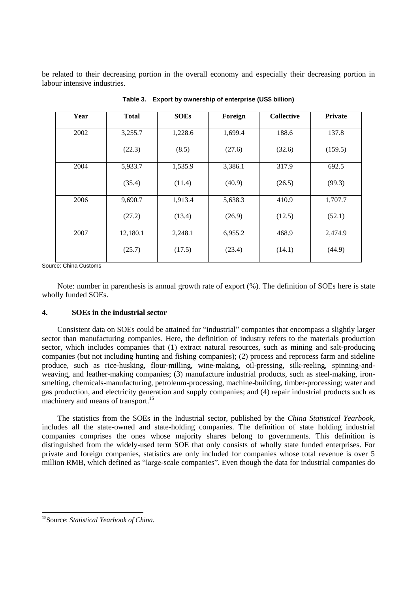be related to their decreasing portion in the overall economy and especially their decreasing portion in labour intensive industries.

| Year | <b>Total</b> | <b>SOEs</b> | Foreign | <b>Collective</b> | <b>Private</b> |
|------|--------------|-------------|---------|-------------------|----------------|
| 2002 | 3,255.7      | 1,228.6     | 1,699.4 | 188.6             | 137.8          |
|      | (22.3)       | (8.5)       | (27.6)  | (32.6)            | (159.5)        |
| 2004 | 5,933.7      | 1,535.9     | 3,386.1 | 317.9             | 692.5          |
|      | (35.4)       | (11.4)      | (40.9)  | (26.5)            | (99.3)         |
| 2006 | 9,690.7      | 1,913.4     | 5,638.3 | 410.9             | 1,707.7        |
|      | (27.2)       | (13.4)      | (26.9)  | (12.5)            | (52.1)         |
| 2007 | 12,180.1     | 2,248.1     | 6,955.2 | 468.9             | 2,474.9        |
|      | (25.7)       | (17.5)      | (23.4)  | (14.1)            | (44.9)         |

**Table 3. Export by ownership of enterprise (US\$ billion)**

Source: China Customs

Note: number in parenthesis is annual growth rate of export (%). The definition of SOEs here is state wholly funded SOEs.

#### **4. SOEs in the industrial sector**

Consistent data on SOEs could be attained for "industrial" companies that encompass a slightly larger sector than manufacturing companies. Here, the definition of industry refers to the materials production sector, which includes companies that (1) extract natural resources, such as mining and salt-producing companies (but not including hunting and fishing companies); (2) process and reprocess farm and sideline produce, such as rice-husking, flour-milling, wine-making, oil-pressing, silk-reeling, spinning-andweaving, and leather-making companies; (3) manufacture industrial products, such as steel-making, ironsmelting, chemicals-manufacturing, petroleum-processing, machine-building, timber-processing; water and gas production, and electricity generation and supply companies; and (4) repair industrial products such as machinery and means of transport.<sup>15</sup>

The statistics from the SOEs in the Industrial sector, published by the *China Statistical Yearbook*, includes all the state-owned and state-holding companies. The definition of state holding industrial companies comprises the ones whose majority shares belong to governments. This definition is distinguished from the widely-used term SOE that only consists of wholly state funded enterprises. For private and foreign companies, statistics are only included for companies whose total revenue is over 5 million RMB, which defined as "large-scale companies". Even though the data for industrial companies do

l

<sup>15</sup>Source: *Statistical Yearbook of China.*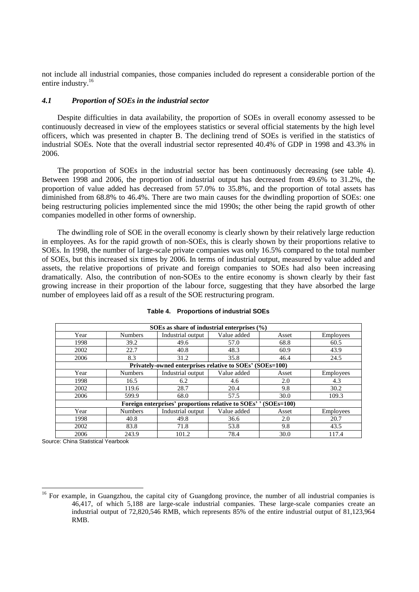not include all industrial companies, those companies included do represent a considerable portion of the entire industry.<sup>16</sup>

#### *4.1 Proportion of SOEs in the industrial sector*

Despite difficulties in data availability, the proportion of SOEs in overall economy assessed to be continuously decreased in view of the employees statistics or several official statements by the high level officers, which was presented in chapter B. The declining trend of SOEs is verified in the statistics of industrial SOEs. Note that the overall industrial sector represented 40.4% of GDP in 1998 and 43.3% in 2006.

The proportion of SOEs in the industrial sector has been continuously decreasing (see table 4). Between 1998 and 2006, the proportion of industrial output has decreased from 49.6% to 31.2%, the proportion of value added has decreased from 57.0% to 35.8%, and the proportion of total assets has diminished from 68.8% to 46.4%. There are two main causes for the dwindling proportion of SOEs: one being restructuring policies implemented since the mid 1990s; the other being the rapid growth of other companies modelled in other forms of ownership.

The dwindling role of SOE in the overall economy is clearly shown by their relatively large reduction in employees. As for the rapid growth of non-SOEs, this is clearly shown by their proportions relative to SOEs. In 1998, the number of large-scale private companies was only 16.5% compared to the total number of SOEs, but this increased six times by 2006. In terms of industrial output, measured by value added and assets, the relative proportions of private and foreign companies to SOEs had also been increasing dramatically. Also, the contribution of non-SOEs to the entire economy is shown clearly by their fast growing increase in their proportion of the labour force, suggesting that they have absorbed the large number of employees laid off as a result of the SOE restructuring program.

| SOEs as share of industrial enterprises $(\% )$                     |                |                   |             |       |                  |  |  |  |  |
|---------------------------------------------------------------------|----------------|-------------------|-------------|-------|------------------|--|--|--|--|
| Year                                                                | <b>Numbers</b> | Industrial output | Value added | Asset | <b>Employees</b> |  |  |  |  |
| 1998                                                                | 39.2           | 49.6              | 57.0        | 68.8  | 60.5             |  |  |  |  |
| 2002                                                                | 22.7           | 40.8              | 48.3        | 60.9  | 43.9             |  |  |  |  |
| 2006                                                                | 8.3            | 31.2              | 35.8        | 46.4  | 24.5             |  |  |  |  |
| Privately-owned enterprises relative to SOEs' (SOEs=100)            |                |                   |             |       |                  |  |  |  |  |
| Year                                                                | <b>Numbers</b> | Industrial output | Value added | Asset | Employees        |  |  |  |  |
| 1998                                                                | 16.5           | 6.2               | 4.6         | 2.0   | 4.3              |  |  |  |  |
| 2002                                                                | 119.6          | 28.7              | 20.4        | 9.8   | 30.2             |  |  |  |  |
| 2006                                                                | 599.9          | 68.0              | 57.5        | 30.0  | 109.3            |  |  |  |  |
| Foreign enterprises' proportions relative to SOEs''<br>$(SOEs=100)$ |                |                   |             |       |                  |  |  |  |  |
| Year                                                                | <b>Numbers</b> | Industrial output | Value added | Asset | Employees        |  |  |  |  |
| 1998                                                                | 40.8           | 49.8              | 36.6        | 2.0   | 20.7             |  |  |  |  |
| 2002                                                                | 83.8           | 71.8              | 53.8        | 9.8   | 43.5             |  |  |  |  |
| 2006                                                                | 243.9          | 101.2             | 78.4        | 30.0  | 117.4            |  |  |  |  |

#### **Table 4. Proportions of industrial SOEs**

Source: China Statistical Yearbook

 $\overline{a}$ 

 $16$  For example, in Guangzhou, the capital city of Guangdong province, the number of all industrial companies is 46,417, of which 5,188 are large-scale industrial companies. These large-scale companies create an industrial output of 72,820,546 RMB, which represents 85% of the entire industrial output of 81,123,964 RMB.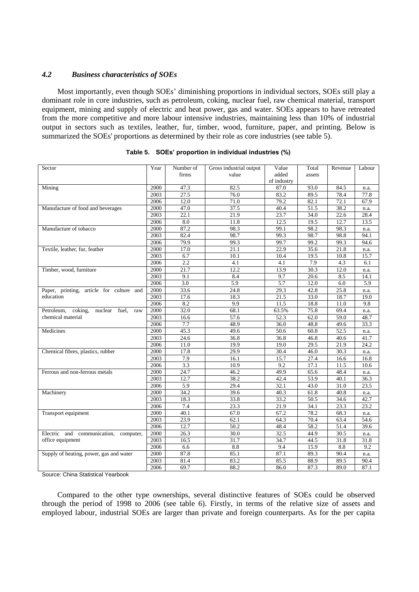# *4.2 Business characteristics of SOEs*

Most importantly, even though SOEs" diminishing proportions in individual sectors, SOEs still play a dominant role in core industries, such as petroleum, coking, nuclear fuel, raw chemical material, transport equipment, mining and supply of electric and heat power, gas and water. SOEs appears to have retreated from the more competitive and more labour intensive industries, maintaining less than 10% of industrial output in sectors such as textiles, leather, fur, timber, wood, furniture, paper, and printing. Below is summarized the SOEs' proportions as determined by their role as core industries (see table 5).

| Sector                                        | Year | Number of         | Gross industrial output | Value       | Total  | Revenue | Labour |
|-----------------------------------------------|------|-------------------|-------------------------|-------------|--------|---------|--------|
|                                               |      | firms             | value                   | added       | assets |         |        |
|                                               |      |                   |                         | of industry |        |         |        |
| Mining                                        | 2000 | 47.3              | 82.5                    | 87.0        | 93.0   | 84.5    | n.a.   |
|                                               | 2003 | $\overline{27.5}$ | 76.0                    | 83.2        | 89.5   | 78.4    | 77.8   |
|                                               | 2006 | 12.0              | 71.0                    | 79.2        | 82.1   | 72.1    | 67.9   |
| Manufacture of food and beverages             | 2000 | 47.0              | 37.5                    | 40.4        | 51.5   | 38.2    | n.a.   |
|                                               | 2003 | $\overline{22.1}$ | 21.9                    | 23.7        | 34.0   | 22.6    | 28.4   |
|                                               | 2006 | 8.0               | 11.8                    | 12.5        | 19.5   | 12.7    | 13.5   |
| Manufacture of tobacco                        | 2000 | 87.2              | 98.3                    | 99.1        | 98.2   | 98.3    | n.a.   |
|                                               | 2003 | 82.4              | 98.7                    | 99.3        | 98.7   | 98.8    | 94.1   |
|                                               | 2006 | 79.9              | 99.3                    | 99.7        | 99.2   | 99.3    | 94.6   |
| Textile, leather, fur, feather                | 2000 | 17.0              | 21.1                    | 22.9        | 35.6   | 21.8    | n.a.   |
|                                               | 2003 | 6.7               | 10.1                    | 10.4        | 19.5   | 10.8    | 15.7   |
|                                               | 2006 | 2.2               | 4.1                     | 4.1         | 7.9    | 4.3     | 6.1    |
| Timber, wood, furniture                       | 2000 | 21.7              | 12.2                    | 13.9        | 30.3   | 12.0    | n.a.   |
|                                               | 2003 | 9.1               | 8.4                     | 9.7         | 20.6   | 8.5     | 14.1   |
|                                               | 2006 | 3.0               | 5.9                     | 5.7         | 12.0   | 6.0     | 5.9    |
| Paper, printing, article for culture and      | 2000 | 33.6              | 24.8                    | 29.3        | 42.8   | 25.8    | n.a.   |
| education                                     | 2003 | 17.6              | 18.3                    | 21.5        | 33.0   | 18.7    | 19.0   |
|                                               | 2006 | 8.2               | 9.9                     | 11.5        | 18.8   | 11.0    | 9.8    |
| Petroleum, coking,<br>nuclear<br>fuel,<br>raw | 2000 | 32.0              | 68.1                    | 63.5%       | 75.8   | 69.4    | n.a.   |
| chemical material                             | 2003 | 16.6              | 57.6                    | 52.3        | 62.0   | 59.0    | 48.7   |
|                                               | 2006 | 7.7               | 48.9                    | 36.0        | 48.8   | 49.6    | 33.3   |
| Medicines                                     | 2000 | 45.3              | 49.6                    | 50.6        | 60.8   | 52.5    | n.a.   |
|                                               | 2003 | 24.6              | 36.8                    | 36.8        | 46.8   | 40.6    | 41.7   |
|                                               | 2006 | 11.0              | 19.9                    | 19.0        | 29.5   | 21.9    | 24.2   |
| Chemical fibres, plastics, rubber             | 2000 | 17.8              | 29.9                    | 30.4        | 46.0   | 30.3    | n.a.   |
|                                               | 2003 | 7.9               | 16.1                    | 15.7        | 27.4   | 16.6    | 16.8   |
|                                               | 2006 | 3.3               | 10.9                    | 9.2         | 17.1   | 11.5    | 10.6   |
| Ferrous and non-ferrous metals                | 2000 | 24.7              | 46.2                    | 49.9        | 65.6   | 48.4    | n.a.   |
|                                               | 2003 | 12.7              | 38.2                    | 42.4        | 53.9   | 40.1    | 36.3   |
|                                               | 2006 | 5.9               | 29.4                    | 32.1        | 43.0   | 31.0    | 23.5   |
| Machinery                                     | 2000 | 34.2              | 39.6                    | 40.3        | 61.8   | 40.8    | n.a.   |
|                                               | 2003 | 18.3              | 33.8                    | 33.2        | 50.5   | 34.6    | 42.7   |
|                                               | 2006 | 7.4               | 23.3                    | 21.9        | 34.1   | 23.3    | 23.2   |
| Transport equipment                           | 2000 | 40.1              | 67.0                    | 67.2        | 78.2   | 68.3    | n.a.   |
|                                               | 2003 | 23.9              | 62.1                    | 64.3        | 70.4   | 63.4    | 54.6   |
|                                               | 2006 | 12.7              | 50.2                    | 48.4        | 58.2   | 51.4    | 39.6   |
| Electric and communication, computer,         | 2000 | 26.3              | 30.0                    | 32.5        | 44.9   | 30.5    | n.a.   |
| office equipment                              | 2003 | 16.5              | 31.7                    | 34.7        | 44.5   | 31.8    | 31.8   |
|                                               | 2006 | 6.6               | $8.8\,$                 | 9.4         | 15.9   | 8.8     | 9.2    |
| Supply of heating, power, gas and water       | 2000 | 87.8              | 85.1                    | 87.1        | 89.3   | 90.4    | n.a.   |
|                                               | 2003 | 81.4              | 83.2                    | 85.5        | 88.9   | 89.5    | 90.4   |
|                                               | 2006 | 69.7              | 88.2                    | 86.0        | 87.3   | 89.0    | 87.1   |

|  |  | Table 5. SOEs' proportion in individual industries (%) |  |
|--|--|--------------------------------------------------------|--|
|  |  |                                                        |  |

Source: China Statistical Yearbook

Compared to the other type ownerships, several distinctive features of SOEs could be observed through the period of 1998 to 2006 (see table 6). Firstly, in terms of the relative size of assets and employed labour, industrial SOEs are larger than private and foreign counterparts. As for the per capita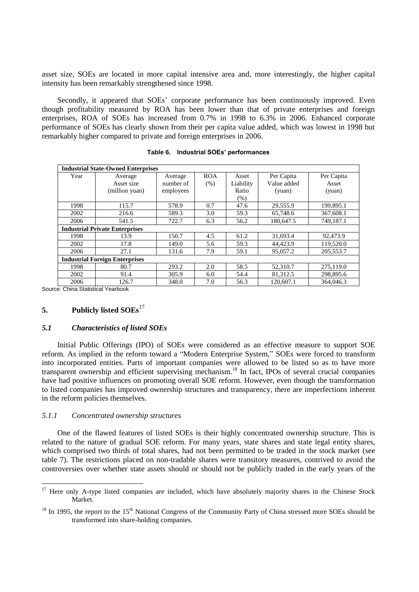asset size, SOEs are located in more capital intensive area and, more interestingly, the higher capital intensity has been remarkably strengthened since 1998.

Secondly, it appeared that SOEs' corporate performance has been continuously improved. Even though profitability measured by ROA has been lower than that of private enterprises and foreign enterprises, ROA of SOEs has increased from 0.7% in 1998 to 6.3% in 2006. Enhanced corporate performance of SOEs has clearly shown from their per capita value added, which was lowest in 1998 but remarkably higher compared to private and foreign enterprises in 2006.

| <b>Industrial State-Owned Enterprises</b> |                                       |           |            |           |             |            |  |  |  |
|-------------------------------------------|---------------------------------------|-----------|------------|-----------|-------------|------------|--|--|--|
| Year                                      | Average                               | Average   | <b>ROA</b> | Asset     | Per Capita  | Per Capita |  |  |  |
|                                           | Asset size                            | number of | (% )       | Liability | Value added | Asset      |  |  |  |
|                                           | (million yuan)                        | employees |            | Ratio     | (yuan)      | (yuan)     |  |  |  |
|                                           |                                       |           |            | (% )      |             |            |  |  |  |
| 1998                                      | 115.7                                 | 578.9     | 0.7        | 47.6      | 29,555.9    | 199,895.1  |  |  |  |
| 2002                                      | 216.6                                 | 589.3     | 3.0        | 59.3      | 65,748.6    | 367,608.1  |  |  |  |
| 2006                                      | 541.5                                 | 722.7     | 6.3        | 56.2      | 180.647.5   | 749.187.1  |  |  |  |
|                                           | <b>Industrial Private Enterprises</b> |           |            |           |             |            |  |  |  |
| 1998                                      | 13.9                                  | 150.7     | 4.5        | 61.2      | 31,693.4    | 92,473.9   |  |  |  |
| 2002                                      | 17.8                                  | 149.0     | 5.6        | 59.3      | 44.423.9    | 119,520.0  |  |  |  |
| 2006                                      | 27.1                                  | 131.6     | 7.9        | 59.1      | 95,057.2    | 205,553.7  |  |  |  |
| <b>Industrial Foreign Enterprises</b>     |                                       |           |            |           |             |            |  |  |  |
| 1998                                      | 80.7                                  | 293.2     | 2.0        | 58.5      | 52,310.7    | 275,119.0  |  |  |  |
| 2002                                      | 91.4                                  | 305.9     | 6.0        | 54.4      | 81,312.5    | 298,895.6  |  |  |  |
| 2006                                      | 126.7                                 | 348.0     | 7.0        | 56.3      | 120,607.1   | 364,046.3  |  |  |  |

|  | Table 6. Industrial SOEs' performances |  |
|--|----------------------------------------|--|
|--|----------------------------------------|--|

Source: China Statistical Yearbook

 $\overline{a}$ 

## **5. Publicly listed SOEs**<sup>17</sup>

#### *5.1 Characteristics of listed SOEs*

Initial Public Offerings (IPO) of SOEs were considered as an effective measure to support SOE reform. As implied in the reform toward a "Modern Enterprise System," SOEs were forced to transform into incorporated entities. Parts of important companies were allowed to be listed so as to have more transparent ownership and efficient supervising mechanism.<sup>18</sup> In fact, IPOs of several crucial companies have had positive influences on promoting overall SOE reform. However, even though the transformation to listed companies has improved ownership structures and transparency, there are imperfections inherent in the reform policies themselves.

#### *5.1.1 Concentrated ownership structures*

One of the flawed features of listed SOEs is their highly concentrated ownership structure. This is related to the nature of gradual SOE reform. For many years, state shares and state legal entity shares, which comprised two thirds of total shares, had not been permitted to be traded in the stock market (see table 7). The restrictions placed on non-tradable shares were transitory measures, contrived to avoid the controversies over whether state assets should or should not be publicly traded in the early years of the

 $17$  Here only A-type listed companies are included, which have absolutely majority shares in the Chinese Stock Market.

 $18$  In 1995, the report to the 15<sup>th</sup> National Congress of the Community Party of China stressed more SOEs should be transformed into share-holding companies.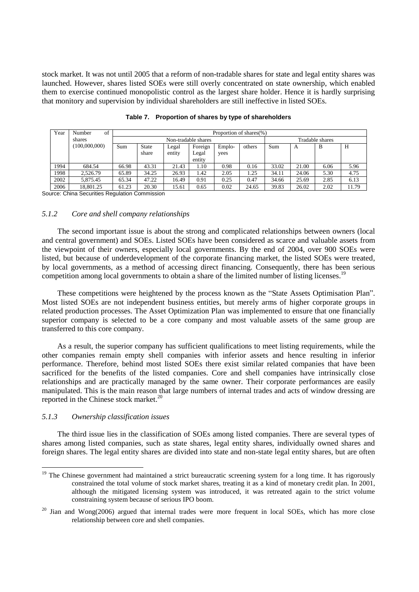stock market. It was not until 2005 that a reform of non-tradable shares for state and legal entity shares was launched. However, shares listed SOEs were still overly concentrated on state ownership, which enabled them to exercise continued monopolistic control as the largest share holder. Hence it is hardly surprising that monitory and supervision by individual shareholders are still ineffective in listed SOEs.

| Year | of<br>Number  |       | Proportion of shares(%) |        |         |        |        |       |       |                 |       |
|------|---------------|-------|-------------------------|--------|---------|--------|--------|-------|-------|-----------------|-------|
|      | shares        |       | Non-tradable shares     |        |         |        |        |       |       | Tradable shares |       |
|      | (100,000,000) | Sum   | <b>State</b>            | Legal  | Foreign | Emplo- | others | Sum   | A     | B               | H     |
|      |               |       | share                   | entity | Legal   | yees   |        |       |       |                 |       |
|      |               |       |                         |        | entity  |        |        |       |       |                 |       |
| 1994 | 684.54        | 66.98 | 43.31                   | 21.43  | 1.10    | 0.98   | 0.16   | 33.02 | 21.00 | 6.06            | 5.96  |
| 1998 | 2.526.79      | 65.89 | 34.25                   | 26.93  | 1.42    | 2.05   | 1.25   | 34.11 | 24.06 | 5.30            | 4.75  |
| 2002 | 5.875.45      | 65.34 | 47.22                   | 16.49  | 0.91    | 0.25   | 0.47   | 34.66 | 25.69 | 2.85            | 6.13  |
| 2006 | 18,801.25     | 61.23 | 20.30                   | 15.61  | 0.65    | 0.02   | 24.65  | 39.83 | 26.02 | 2.02            | 11.79 |

|  |  |  |  | Table 7. Proportion of shares by type of shareholders |
|--|--|--|--|-------------------------------------------------------|
|--|--|--|--|-------------------------------------------------------|

Source: China Securities Regulation Commission

### *5.1.2 Core and shell company relationships*

The second important issue is about the strong and complicated relationships between owners (local and central government) and SOEs. Listed SOEs have been considered as scarce and valuable assets from the viewpoint of their owners, especially local governments. By the end of 2004, over 900 SOEs were listed, but because of underdevelopment of the corporate financing market, the listed SOEs were treated, by local governments, as a method of accessing direct financing. Consequently, there has been serious competition among local governments to obtain a share of the limited number of listing licenses.<sup>19</sup>

These competitions were heightened by the process known as the "State Assets Optimisation Plan". Most listed SOEs are not independent business entities, but merely arms of higher corporate groups in related production processes. The Asset Optimization Plan was implemented to ensure that one financially superior company is selected to be a core company and most valuable assets of the same group are transferred to this core company.

As a result, the superior company has sufficient qualifications to meet listing requirements, while the other companies remain empty shell companies with inferior assets and hence resulting in inferior performance. Therefore, behind most listed SOEs there exist similar related companies that have been sacrificed for the benefits of the listed companies. Core and shell companies have intrinsically close relationships and are practically managed by the same owner. Their corporate performances are easily manipulated. This is the main reason that large numbers of internal trades and acts of window dressing are reported in the Chinese stock market.<sup>20</sup>

#### *5.1.3 Ownership classification issues*

l

The third issue lies in the classification of SOEs among listed companies. There are several types of shares among listed companies, such as state shares, legal entity shares, individually owned shares and foreign shares. The legal entity shares are divided into state and non-state legal entity shares, but are often

<sup>&</sup>lt;sup>19</sup> The Chinese government had maintained a strict bureaucratic screening system for a long time. It has rigorously constrained the total volume of stock market shares, treating it as a kind of monetary credit plan. In 2001, although the mitigated licensing system was introduced, it was retreated again to the strict volume constraining system because of serious IPO boom.

 $20$  Jian and Wong(2006) argued that internal trades were more frequent in local SOEs, which has more close relationship between core and shell companies.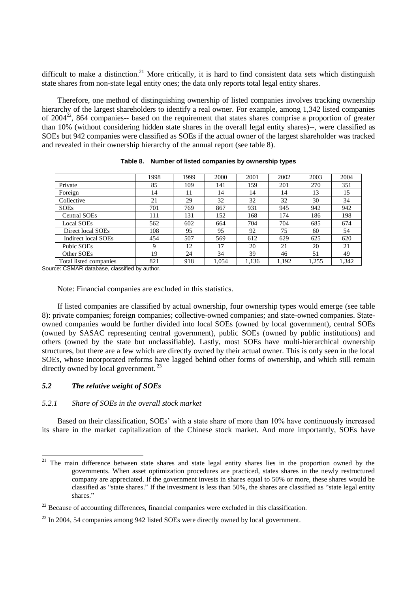difficult to make a distinction.<sup>21</sup> More critically, it is hard to find consistent data sets which distinguish state shares from non-state legal entity ones; the data only reports total legal entity shares.

Therefore, one method of distinguishing ownership of listed companies involves tracking ownership hierarchy of the largest shareholders to identify a real owner. For example, among 1,342 listed companies of  $2004^{22}$ , 864 companies-- based on the requirement that states shares comprise a proportion of greater than 10% (without considering hidden state shares in the overall legal entity shares)--, were classified as SOEs but 942 companies were classified as SOEs if the actual owner of the largest shareholder was tracked and revealed in their ownership hierarchy of the annual report (see table 8).

|                        | 1998 | 1999 | 2000  | 2001  | 2002  | 2003  | 2004  |
|------------------------|------|------|-------|-------|-------|-------|-------|
| Private                | 85   | 109  | 141   | 159   | 201   | 270   | 351   |
| Foreign                | 14   | 11   | 14    | 14    | 14    | 13    | 15    |
| Collective             | 21   | 29   | 32    | 32    | 32    | 30    | 34    |
| <b>SOEs</b>            | 701  | 769  | 867   | 931   | 945   | 942   | 942   |
| <b>Central SOEs</b>    | 111  | 131  | 152   | 168   | 174   | 186   | 198   |
| <b>Local SOEs</b>      | 562  | 602  | 664   | 704   | 704   | 685   | 674   |
| Direct local SOEs      | 108  | 95   | 95    | 92    | 75    | 60    | 54    |
| Indirect local SOEs    | 454  | 507  | 569   | 612   | 629   | 625   | 620   |
| Pubic SOEs             | 9    | 12   | 17    | 20    | 21    | 20    | 21    |
| Other SOEs             | 19   | 24   | 34    | 39    | 46    | 51    | 49    |
| Total listed companies | 821  | 918  | 1.054 | 1,136 | 1,192 | 1,255 | 1,342 |

**Table 8. Number of listed companies by ownership types**

Source: CSMAR database, classified by author.

Note: Financial companies are excluded in this statistics.

If listed companies are classified by actual ownership, four ownership types would emerge (see table 8): private companies; foreign companies; collective-owned companies; and state-owned companies. Stateowned companies would be further divided into local SOEs (owned by local government), central SOEs (owned by SASAC representing central government), public SOEs (owned by public institutions) and others (owned by the state but unclassifiable). Lastly, most SOEs have multi-hierarchical ownership structures, but there are a few which are directly owned by their actual owner. This is only seen in the local SOEs, whose incorporated reforms have lagged behind other forms of ownership, and which still remain directly owned by local government.<sup>23</sup>

### *5.2 The relative weight of SOEs*

#### *5.2.1 Share of SOEs in the overall stock market*

Based on their classification, SOEs' with a state share of more than 10% have continuously increased its share in the market capitalization of the Chinese stock market. And more importantly, SOEs have

 $21\,$ The main difference between state shares and state legal entity shares lies in the proportion owned by the governments. When asset optimization procedures are practiced, states shares in the newly restructured company are appreciated. If the government invests in shares equal to 50% or more, these shares would be classified as "state shares." If the investment is less than 50%, the shares are classified as "state legal entity shares."

 $^{22}$  Because of accounting differences, financial companies were excluded in this classification.

 $^{23}$  In 2004, 54 companies among 942 listed SOEs were directly owned by local government.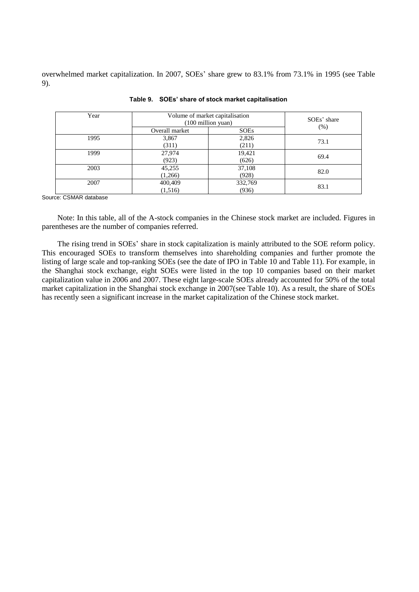overwhelmed market capitalization. In 2007, SOEs" share grew to 83.1% from 73.1% in 1995 (see Table 9).

| Year | Volume of market capitalisation<br>$(100 \text{ million}$ yuan) | SOEs' share<br>(% ) |      |  |
|------|-----------------------------------------------------------------|---------------------|------|--|
|      | Overall market                                                  | <b>SOEs</b>         |      |  |
| 1995 | 3,867                                                           | 2,826               | 73.1 |  |
|      | (311)                                                           | (211)               |      |  |
| 1999 | 27,974                                                          | 19,421              | 69.4 |  |
|      | (923)                                                           | (626)               |      |  |
| 2003 | 45,255                                                          | 37,108              | 82.0 |  |
|      | (1,266)                                                         | (928)               |      |  |
| 2007 | 400,409                                                         | 332,769             | 83.1 |  |
|      | (1,516)                                                         | (936)               |      |  |

|  |  | Table 9. SOEs' share of stock market capitalisation |  |
|--|--|-----------------------------------------------------|--|
|--|--|-----------------------------------------------------|--|

Source: CSMAR database

Note: In this table, all of the A-stock companies in the Chinese stock market are included. Figures in parentheses are the number of companies referred.

The rising trend in SOEs" share in stock capitalization is mainly attributed to the SOE reform policy. This encouraged SOEs to transform themselves into shareholding companies and further promote the listing of large scale and top-ranking SOEs (see the date of IPO in Table 10 and Table 11). For example, in the Shanghai stock exchange, eight SOEs were listed in the top 10 companies based on their market capitalization value in 2006 and 2007. These eight large-scale SOEs already accounted for 50% of the total market capitalization in the Shanghai stock exchange in 2007(see Table 10). As a result, the share of SOEs has recently seen a significant increase in the market capitalization of the Chinese stock market.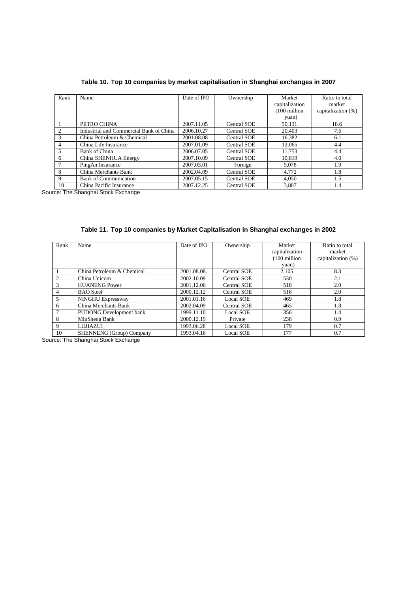|  |  |  | Table 10. Top 10 companies by market capitalisation in Shanghai exchanges in 2007 |  |
|--|--|--|-----------------------------------------------------------------------------------|--|
|  |  |  |                                                                                   |  |

| Rank | Name                                    | Date of IPO | Ownership          | Market<br>capitalization<br>$(100 \text{ million})$<br>yuan) | Ratio to total<br>market<br>capitalization (%) |
|------|-----------------------------------------|-------------|--------------------|--------------------------------------------------------------|------------------------------------------------|
|      | PETRO CHINA                             | 2007.11.05  | Central SOE        | 50.131                                                       | 18.6                                           |
|      | Industrial and Commercial Bank of China | 2006.10.27  | <b>Central SOE</b> | 20,403                                                       | 7.6                                            |
|      | China Petroleum & Chemical              | 2001.08.08  | <b>Central SOE</b> | 16,382                                                       | 6.1                                            |
| 4    | China Life Insurance                    | 2007.01.09  | <b>Central SOE</b> | 12.065                                                       | 4.4                                            |
| 5    | <b>Bank of China</b>                    | 2006.07.05  | <b>Central SOE</b> | 11,753                                                       | 4.4                                            |
| 6    | China SHENHUA Energy                    | 2007.10.09  | Central SOE        | 10.819                                                       | 4.0                                            |
|      | PingAn Insurance                        | 2007.03.01  | Foreign            | 5,078                                                        | 1.9                                            |
| 8    | China Merchants Bank                    | 2002.04.09  | <b>Central SOE</b> | 4,772                                                        | 1.8                                            |
| 9    | <b>Bank of Communication</b>            | 2007.05.15  | <b>Central SOE</b> | 4.050                                                        | 1.5                                            |
| 10   | China Pacific Insurance                 | 2007.12.25  | <b>Central SOE</b> | 3,807                                                        | 1.4                                            |

Source: The Shanghai Stock Exchange

| Rank          | Name                       | Date of IPO | Ownership          | Market                  | Ratio to total     |
|---------------|----------------------------|-------------|--------------------|-------------------------|--------------------|
|               |                            |             |                    | capitalization          | market             |
|               |                            |             |                    | $(100 \text{ million})$ | capitalization (%) |
|               |                            |             |                    | yuan)                   |                    |
|               | China Petroleum & Chemical | 2001.08.08. | <b>Central SOE</b> | 2,105                   | 8.3                |
| 2             | China Unicom               | 2002.10.09  | <b>Central SOE</b> | 530                     | 2.1                |
| $\mathcal{F}$ | <b>HUANENG Power</b>       | 2001.12.06  | <b>Central SOE</b> | 518                     | 2.0                |
| 4             | <b>BAO</b> Steel           | 2000.12.12  | <b>Central SOE</b> | 516                     | 2.0                |
| 5.            | NINGHU Expressway          | 2001.01.16  | Local SOE          | 469                     | 1.8                |
| 6             | China Merchants Bank       | 2002.04.09  | <b>Central SOE</b> | 465                     | 1.8                |
|               | PUDONG Development bank    | 1999.11.10  | Local SOE          | 356                     | 1.4                |
| 8             | MinSheng Bank              | 2000.12.19  | Private            | 238                     | 0.9                |
| 9             | LUJIAZUI                   | 1993.06.28  | Local SOE          | 179                     | 0.7                |
| 10            | SHENNENG (Group) Company   | 1993.04.16  | Local SOE          | 177                     | 0.7                |

**Table 11. Top 10 companies by Market Capitalisation in Shanghai exchanges in 2002**

Source: The Shanghai Stock Exchange